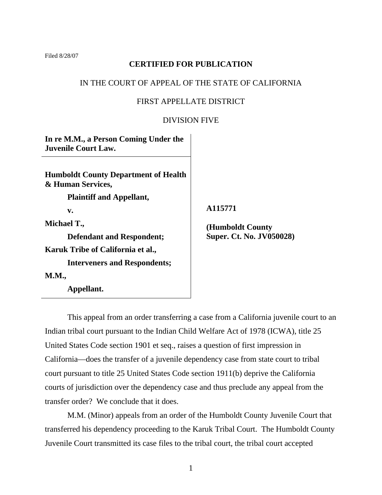Filed 8/28/07

# **CERTIFIED FOR PUBLICATION**

# IN THE COURT OF APPEAL OF THE STATE OF CALIFORNIA

# FIRST APPELLATE DISTRICT

## DIVISION FIVE

**In re M.M., a Person Coming Under the Juvenile Court Law. Humboldt County Department of Health & Human Services, Plaintiff and Appellant, v. Michael T., Defendant and Respondent; Karuk Tribe of California et al., Interveners and Respondents; M.M., Appellant.** 

 **A115771** 

 **(Humboldt County Super. Ct. No. JV050028)** 

 This appeal from an order transferring a case from a California juvenile court to an Indian tribal court pursuant to the Indian Child Welfare Act of 1978 (ICWA), title 25 United States Code section 1901 et seq., raises a question of first impression in California—does the transfer of a juvenile dependency case from state court to tribal court pursuant to title 25 United States Code section 1911(b) deprive the California courts of jurisdiction over the dependency case and thus preclude any appeal from the transfer order? We conclude that it does.

 M.M. (Minor) appeals from an order of the Humboldt County Juvenile Court that transferred his dependency proceeding to the Karuk Tribal Court. The Humboldt County Juvenile Court transmitted its case files to the tribal court, the tribal court accepted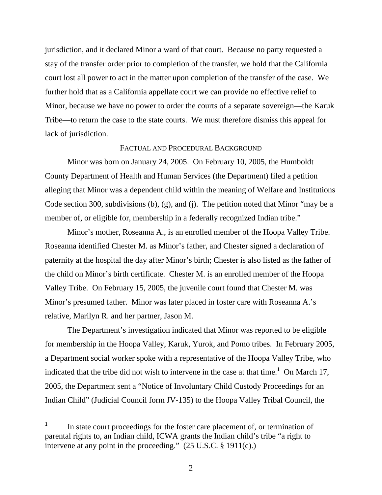jurisdiction, and it declared Minor a ward of that court. Because no party requested a stay of the transfer order prior to completion of the transfer, we hold that the California court lost all power to act in the matter upon completion of the transfer of the case. We further hold that as a California appellate court we can provide no effective relief to Minor, because we have no power to order the courts of a separate sovereign—the Karuk Tribe—to return the case to the state courts. We must therefore dismiss this appeal for lack of jurisdiction.

#### FACTUAL AND PROCEDURAL BACKGROUND

 Minor was born on January 24, 2005. On February 10, 2005, the Humboldt County Department of Health and Human Services (the Department) filed a petition alleging that Minor was a dependent child within the meaning of Welfare and Institutions Code section 300, subdivisions (b), (g), and (j). The petition noted that Minor "may be a member of, or eligible for, membership in a federally recognized Indian tribe."

 Minor's mother, Roseanna A., is an enrolled member of the Hoopa Valley Tribe. Roseanna identified Chester M. as Minor's father, and Chester signed a declaration of paternity at the hospital the day after Minor's birth; Chester is also listed as the father of the child on Minor's birth certificate. Chester M. is an enrolled member of the Hoopa Valley Tribe. On February 15, 2005, the juvenile court found that Chester M. was Minor's presumed father. Minor was later placed in foster care with Roseanna A.'s relative, Marilyn R. and her partner, Jason M.

 The Department's investigation indicated that Minor was reported to be eligible for membership in the Hoopa Valley, Karuk, Yurok, and Pomo tribes. In February 2005, a Department social worker spoke with a representative of the Hoopa Valley Tribe, who indicated that the tribe did not wish to intervene in the case at that time.**<sup>1</sup>** On March 17, 2005, the Department sent a "Notice of Involuntary Child Custody Proceedings for an Indian Child" (Judicial Council form JV-135) to the Hoopa Valley Tribal Council, the

 **1** In state court proceedings for the foster care placement of, or termination of parental rights to, an Indian child, ICWA grants the Indian child's tribe "a right to intervene at any point in the proceeding." (25 U.S.C. § 1911(c).)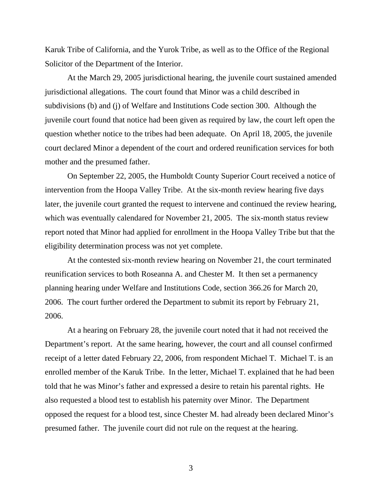Karuk Tribe of California, and the Yurok Tribe, as well as to the Office of the Regional Solicitor of the Department of the Interior.

 At the March 29, 2005 jurisdictional hearing, the juvenile court sustained amended jurisdictional allegations. The court found that Minor was a child described in subdivisions (b) and (j) of Welfare and Institutions Code section 300. Although the juvenile court found that notice had been given as required by law, the court left open the question whether notice to the tribes had been adequate. On April 18, 2005, the juvenile court declared Minor a dependent of the court and ordered reunification services for both mother and the presumed father.

 On September 22, 2005, the Humboldt County Superior Court received a notice of intervention from the Hoopa Valley Tribe. At the six-month review hearing five days later, the juvenile court granted the request to intervene and continued the review hearing, which was eventually calendared for November 21, 2005. The six-month status review report noted that Minor had applied for enrollment in the Hoopa Valley Tribe but that the eligibility determination process was not yet complete.

 At the contested six-month review hearing on November 21, the court terminated reunification services to both Roseanna A. and Chester M. It then set a permanency planning hearing under Welfare and Institutions Code, section 366.26 for March 20, 2006. The court further ordered the Department to submit its report by February 21, 2006.

 At a hearing on February 28, the juvenile court noted that it had not received the Department's report. At the same hearing, however, the court and all counsel confirmed receipt of a letter dated February 22, 2006, from respondent Michael T. Michael T. is an enrolled member of the Karuk Tribe. In the letter, Michael T. explained that he had been told that he was Minor's father and expressed a desire to retain his parental rights. He also requested a blood test to establish his paternity over Minor. The Department opposed the request for a blood test, since Chester M. had already been declared Minor's presumed father. The juvenile court did not rule on the request at the hearing.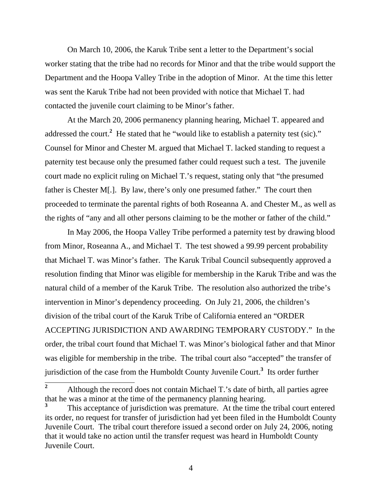On March 10, 2006, the Karuk Tribe sent a letter to the Department's social worker stating that the tribe had no records for Minor and that the tribe would support the Department and the Hoopa Valley Tribe in the adoption of Minor. At the time this letter was sent the Karuk Tribe had not been provided with notice that Michael T. had contacted the juvenile court claiming to be Minor's father.

 At the March 20, 2006 permanency planning hearing, Michael T. appeared and addressed the court.<sup>2</sup> He stated that he "would like to establish a paternity test (sic)." Counsel for Minor and Chester M. argued that Michael T. lacked standing to request a paternity test because only the presumed father could request such a test. The juvenile court made no explicit ruling on Michael T.'s request, stating only that "the presumed father is Chester M[.]. By law, there's only one presumed father." The court then proceeded to terminate the parental rights of both Roseanna A. and Chester M., as well as the rights of "any and all other persons claiming to be the mother or father of the child."

 In May 2006, the Hoopa Valley Tribe performed a paternity test by drawing blood from Minor, Roseanna A., and Michael T. The test showed a 99.99 percent probability that Michael T. was Minor's father. The Karuk Tribal Council subsequently approved a resolution finding that Minor was eligible for membership in the Karuk Tribe and was the natural child of a member of the Karuk Tribe. The resolution also authorized the tribe's intervention in Minor's dependency proceeding. On July 21, 2006, the children's division of the tribal court of the Karuk Tribe of California entered an "ORDER ACCEPTING JURISDICTION AND AWARDING TEMPORARY CUSTODY." In the order, the tribal court found that Michael T. was Minor's biological father and that Minor was eligible for membership in the tribe. The tribal court also "accepted" the transfer of jurisdiction of the case from the Humboldt County Juvenile Court.**<sup>3</sup>** Its order further

 **2** Although the record does not contain Michael T.'s date of birth, all parties agree that he was a minor at the time of the permanency planning hearing.

**<sup>3</sup>** This acceptance of jurisdiction was premature. At the time the tribal court entered its order, no request for transfer of jurisdiction had yet been filed in the Humboldt County Juvenile Court. The tribal court therefore issued a second order on July 24, 2006, noting that it would take no action until the transfer request was heard in Humboldt County Juvenile Court.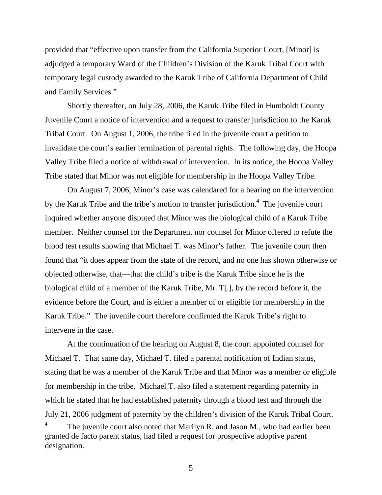provided that "effective upon transfer from the California Superior Court, [Minor] is adjudged a temporary Ward of the Children's Division of the Karuk Tribal Court with temporary legal custody awarded to the Karuk Tribe of California Department of Child and Family Services."

 Shortly thereafter, on July 28, 2006, the Karuk Tribe filed in Humboldt County Juvenile Court a notice of intervention and a request to transfer jurisdiction to the Karuk Tribal Court. On August 1, 2006, the tribe filed in the juvenile court a petition to invalidate the court's earlier termination of parental rights. The following day, the Hoopa Valley Tribe filed a notice of withdrawal of intervention. In its notice, the Hoopa Valley Tribe stated that Minor was not eligible for membership in the Hoopa Valley Tribe.

 On August 7, 2006, Minor's case was calendared for a hearing on the intervention by the Karuk Tribe and the tribe's motion to transfer jurisdiction.**<sup>4</sup>** The juvenile court inquired whether anyone disputed that Minor was the biological child of a Karuk Tribe member. Neither counsel for the Department nor counsel for Minor offered to refute the blood test results showing that Michael T. was Minor's father. The juvenile court then found that "it does appear from the state of the record, and no one has shown otherwise or objected otherwise, that—that the child's tribe is the Karuk Tribe since he is the biological child of a member of the Karuk Tribe, Mr. T[.], by the record before it, the evidence before the Court, and is either a member of or eligible for membership in the Karuk Tribe." The juvenile court therefore confirmed the Karuk Tribe's right to intervene in the case.

 At the continuation of the hearing on August 8, the court appointed counsel for Michael T. That same day, Michael T. filed a parental notification of Indian status, stating that he was a member of the Karuk Tribe and that Minor was a member or eligible for membership in the tribe. Michael T. also filed a statement regarding paternity in which he stated that he had established paternity through a blood test and through the July 21, 2006 judgment of paternity by the children's division of the Karuk Tribal Court. **4** The juvenile court also noted that Marilyn R. and Jason M., who had earlier been

granted de facto parent status, had filed a request for prospective adoptive parent designation.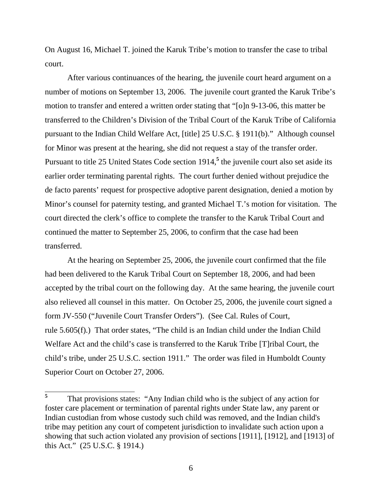On August 16, Michael T. joined the Karuk Tribe's motion to transfer the case to tribal court.

 After various continuances of the hearing, the juvenile court heard argument on a number of motions on September 13, 2006. The juvenile court granted the Karuk Tribe's motion to transfer and entered a written order stating that "[o]n 9-13-06, this matter be transferred to the Children's Division of the Tribal Court of the Karuk Tribe of California pursuant to the Indian Child Welfare Act, [title] 25 U.S.C. § 1911(b)." Although counsel for Minor was present at the hearing, she did not request a stay of the transfer order. Pursuant to title 25 United States Code section 1914,**<sup>5</sup>** the juvenile court also set aside its earlier order terminating parental rights. The court further denied without prejudice the de facto parents' request for prospective adoptive parent designation, denied a motion by Minor's counsel for paternity testing, and granted Michael T.'s motion for visitation. The court directed the clerk's office to complete the transfer to the Karuk Tribal Court and continued the matter to September 25, 2006, to confirm that the case had been transferred.

 At the hearing on September 25, 2006, the juvenile court confirmed that the file had been delivered to the Karuk Tribal Court on September 18, 2006, and had been accepted by the tribal court on the following day. At the same hearing, the juvenile court also relieved all counsel in this matter. On October 25, 2006, the juvenile court signed a form JV-550 ("Juvenile Court Transfer Orders"). (See Cal. Rules of Court, rule 5.605(f).) That order states, "The child is an Indian child under the Indian Child Welfare Act and the child's case is transferred to the Karuk Tribe [T]ribal Court, the child's tribe, under 25 U.S.C. section 1911." The order was filed in Humboldt County Superior Court on October 27, 2006.

 **5** That provisions states: "Any Indian child who is the subject of any action for foster care placement or termination of parental rights under State law, any parent or Indian custodian from whose custody such child was removed, and the Indian child's tribe may petition any court of competent jurisdiction to invalidate such action upon a showing that such action violated any provision of sections [1911], [1912], and [1913] of this Act." (25 U.S.C. § 1914.)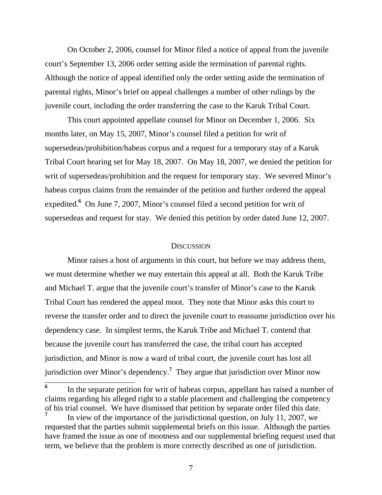On October 2, 2006, counsel for Minor filed a notice of appeal from the juvenile court's September 13, 2006 order setting aside the termination of parental rights. Although the notice of appeal identified only the order setting aside the termination of parental rights, Minor's brief on appeal challenges a number of other rulings by the juvenile court, including the order transferring the case to the Karuk Tribal Court.

 This court appointed appellate counsel for Minor on December 1, 2006. Six months later, on May 15, 2007, Minor's counsel filed a petition for writ of supersedeas/prohibition/habeas corpus and a request for a temporary stay of a Karuk Tribal Court hearing set for May 18, 2007. On May 18, 2007, we denied the petition for writ of supersedeas/prohibition and the request for temporary stay. We severed Minor's habeas corpus claims from the remainder of the petition and further ordered the appeal expedited.**<sup>6</sup>** On June 7, 2007, Minor's counsel filed a second petition for writ of supersedeas and request for stay. We denied this petition by order dated June 12, 2007.

#### **DISCUSSION**

 Minor raises a host of arguments in this court, but before we may address them, we must determine whether we may entertain this appeal at all. Both the Karuk Tribe and Michael T. argue that the juvenile court's transfer of Minor's case to the Karuk Tribal Court has rendered the appeal moot. They note that Minor asks this court to reverse the transfer order and to direct the juvenile court to reassume jurisdiction over his dependency case. In simplest terms, the Karuk Tribe and Michael T. contend that because the juvenile court has transferred the case, the tribal court has accepted jurisdiction, and Minor is now a ward of tribal court, the juvenile court has lost all jurisdiction over Minor's dependency.**<sup>7</sup>** They argue that jurisdiction over Minor now

 $\overline{\phantom{a}}$ **6** In the separate petition for writ of habeas corpus, appellant has raised a number of claims regarding his alleged right to a stable placement and challenging the competency of his trial counsel. We have dismissed that petition by separate order filed this date.

**<sup>7</sup>** In view of the importance of the jurisdictional question, on July 11, 2007, we requested that the parties submit supplemental briefs on this issue. Although the parties have framed the issue as one of mootness and our supplemental briefing request used that term, we believe that the problem is more correctly described as one of jurisdiction.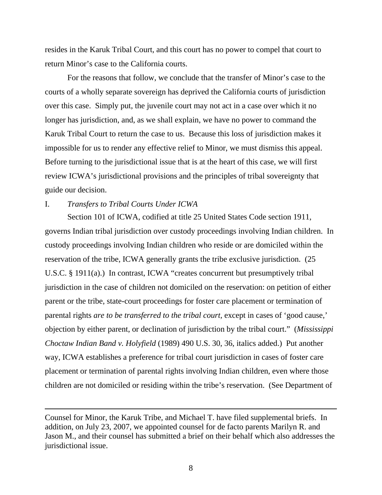resides in the Karuk Tribal Court, and this court has no power to compel that court to return Minor's case to the California courts.

 For the reasons that follow, we conclude that the transfer of Minor's case to the courts of a wholly separate sovereign has deprived the California courts of jurisdiction over this case. Simply put, the juvenile court may not act in a case over which it no longer has jurisdiction, and, as we shall explain, we have no power to command the Karuk Tribal Court to return the case to us. Because this loss of jurisdiction makes it impossible for us to render any effective relief to Minor, we must dismiss this appeal. Before turning to the jurisdictional issue that is at the heart of this case, we will first review ICWA's jurisdictional provisions and the principles of tribal sovereignty that guide our decision.

I. *Transfers to Tribal Courts Under ICWA* 

 $\overline{a}$ 

 Section 101 of ICWA, codified at title 25 United States Code section 1911, governs Indian tribal jurisdiction over custody proceedings involving Indian children. In custody proceedings involving Indian children who reside or are domiciled within the reservation of the tribe, ICWA generally grants the tribe exclusive jurisdiction. (25 U.S.C. § 1911(a).) In contrast, ICWA "creates concurrent but presumptively tribal jurisdiction in the case of children not domiciled on the reservation: on petition of either parent or the tribe, state-court proceedings for foster care placement or termination of parental rights *are to be transferred to the tribal court,* except in cases of 'good cause,' objection by either parent, or declination of jurisdiction by the tribal court." (*Mississippi Choctaw Indian Band v. Holyfield* (1989) 490 U.S. 30, 36, italics added.) Put another way, ICWA establishes a preference for tribal court jurisdiction in cases of foster care placement or termination of parental rights involving Indian children, even where those children are not domiciled or residing within the tribe's reservation. (See Department of

Counsel for Minor, the Karuk Tribe, and Michael T. have filed supplemental briefs. In addition, on July 23, 2007, we appointed counsel for de facto parents Marilyn R. and Jason M., and their counsel has submitted a brief on their behalf which also addresses the jurisdictional issue.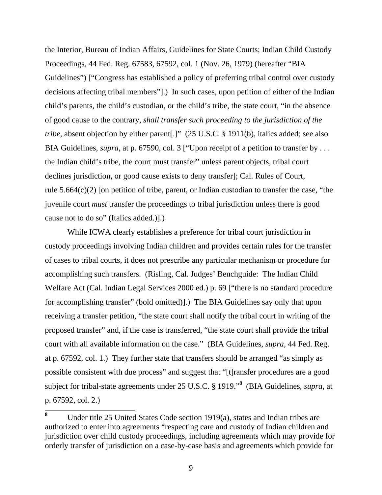the Interior, Bureau of Indian Affairs, Guidelines for State Courts; Indian Child Custody Proceedings, 44 Fed. Reg. 67583, 67592, col. 1 (Nov. 26, 1979) (hereafter "BIA Guidelines") ["Congress has established a policy of preferring tribal control over custody decisions affecting tribal members"].) In such cases, upon petition of either of the Indian child's parents, the child's custodian, or the child's tribe, the state court, "in the absence of good cause to the contrary, *shall transfer such proceeding to the jurisdiction of the tribe*, absent objection by either parent.]" (25 U.S.C. § 1911(b), italics added; see also BIA Guidelines, *supra*, at p. 67590, col. 3 ["Upon receipt of a petition to transfer by . . . the Indian child's tribe, the court must transfer" unless parent objects, tribal court declines jurisdiction, or good cause exists to deny transfer]; Cal. Rules of Court, rule 5.664(c)(2) [on petition of tribe, parent, or Indian custodian to transfer the case, "the juvenile court *must* transfer the proceedings to tribal jurisdiction unless there is good cause not to do so" (Italics added.)].)

 While ICWA clearly establishes a preference for tribal court jurisdiction in custody proceedings involving Indian children and provides certain rules for the transfer of cases to tribal courts, it does not prescribe any particular mechanism or procedure for accomplishing such transfers. (Risling, Cal. Judges' Benchguide: The Indian Child Welfare Act (Cal. Indian Legal Services 2000 ed.) p. 69 ["there is no standard procedure for accomplishing transfer" (bold omitted)].) The BIA Guidelines say only that upon receiving a transfer petition, "the state court shall notify the tribal court in writing of the proposed transfer" and, if the case is transferred, "the state court shall provide the tribal court with all available information on the case." (BIA Guidelines, *supra,* 44 Fed. Reg. at p. 67592, col. 1.) They further state that transfers should be arranged "as simply as possible consistent with due process" and suggest that "[t]ransfer procedures are a good subject for tribal-state agreements under 25 U.S.C. § 1919."**<sup>8</sup>** (BIA Guidelines, *supra,* at p. 67592, col. 2.)

 **8** Under title 25 United States Code section 1919(a), states and Indian tribes are authorized to enter into agreements "respecting care and custody of Indian children and jurisdiction over child custody proceedings, including agreements which may provide for orderly transfer of jurisdiction on a case-by-case basis and agreements which provide for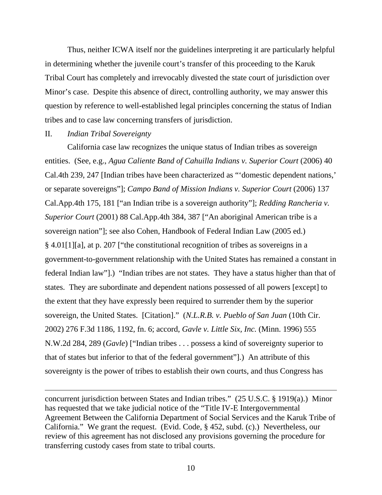Thus, neither ICWA itself nor the guidelines interpreting it are particularly helpful in determining whether the juvenile court's transfer of this proceeding to the Karuk Tribal Court has completely and irrevocably divested the state court of jurisdiction over Minor's case. Despite this absence of direct, controlling authority, we may answer this question by reference to well-established legal principles concerning the status of Indian tribes and to case law concerning transfers of jurisdiction.

### II. *Indian Tribal Sovereignty*

 $\overline{a}$ 

 California case law recognizes the unique status of Indian tribes as sovereign entities. (See, e.g., *Agua Caliente Band of Cahuilla Indians v. Superior Court* (2006) 40 Cal.4th 239, 247 [Indian tribes have been characterized as "'domestic dependent nations,' or separate sovereigns"]; *Campo Band of Mission Indians v. Superior Court* (2006) 137 Cal.App.4th 175, 181 ["an Indian tribe is a sovereign authority"]; *Redding Rancheria v. Superior Court* (2001) 88 Cal.App.4th 384, 387 ["An aboriginal American tribe is a sovereign nation"]; see also Cohen, Handbook of Federal Indian Law (2005 ed.) § 4.01[1][a], at p. 207 ["the constitutional recognition of tribes as sovereigns in a government-to-government relationship with the United States has remained a constant in federal Indian law"].) "Indian tribes are not states. They have a status higher than that of states. They are subordinate and dependent nations possessed of all powers [except] to the extent that they have expressly been required to surrender them by the superior sovereign, the United States. [Citation]." (*N.L.R.B. v. Pueblo of San Juan* (10th Cir. 2002) 276 F.3d 1186, 1192, fn. 6; accord, *Gavle v. Little Six, Inc.* (Minn. 1996) 555 N.W.2d 284, 289 (*Gavle*) ["Indian tribes . . . possess a kind of sovereignty superior to that of states but inferior to that of the federal government"].) An attribute of this sovereignty is the power of tribes to establish their own courts, and thus Congress has

concurrent jurisdiction between States and Indian tribes." (25 U.S.C. § 1919(a).) Minor has requested that we take judicial notice of the "Title IV-E Intergovernmental Agreement Between the California Department of Social Services and the Karuk Tribe of California." We grant the request. (Evid. Code, § 452, subd. (c).) Nevertheless, our review of this agreement has not disclosed any provisions governing the procedure for transferring custody cases from state to tribal courts.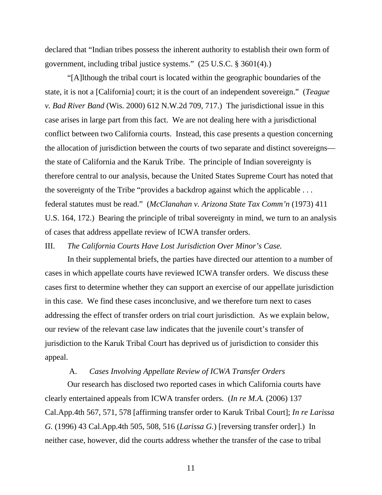declared that "Indian tribes possess the inherent authority to establish their own form of government, including tribal justice systems." (25 U.S.C. § 3601(4).)

 "[A]lthough the tribal court is located within the geographic boundaries of the state, it is not a [California] court; it is the court of an independent sovereign." (*Teague v. Bad River Band* (Wis. 2000) 612 N.W.2d 709, 717.) The jurisdictional issue in this case arises in large part from this fact. We are not dealing here with a jurisdictional conflict between two California courts. Instead, this case presents a question concerning the allocation of jurisdiction between the courts of two separate and distinct sovereigns the state of California and the Karuk Tribe. The principle of Indian sovereignty is therefore central to our analysis, because the United States Supreme Court has noted that the sovereignty of the Tribe "provides a backdrop against which the applicable . . . federal statutes must be read." (*McClanahan v. Arizona State Tax Comm'n* (1973) 411 U.S. 164, 172.) Bearing the principle of tribal sovereignty in mind, we turn to an analysis of cases that address appellate review of ICWA transfer orders.

III. *The California Courts Have Lost Jurisdiction Over Minor's Case.* 

 In their supplemental briefs, the parties have directed our attention to a number of cases in which appellate courts have reviewed ICWA transfer orders. We discuss these cases first to determine whether they can support an exercise of our appellate jurisdiction in this case. We find these cases inconclusive, and we therefore turn next to cases addressing the effect of transfer orders on trial court jurisdiction. As we explain below, our review of the relevant case law indicates that the juvenile court's transfer of jurisdiction to the Karuk Tribal Court has deprived us of jurisdiction to consider this appeal.

#### A. *Cases Involving Appellate Review of ICWA Transfer Orders*

 Our research has disclosed two reported cases in which California courts have clearly entertained appeals from ICWA transfer orders. (*In re M.A.* (2006) 137 Cal.App.4th 567, 571, 578 [affirming transfer order to Karuk Tribal Court]; *In re Larissa G.* (1996) 43 Cal.App.4th 505, 508, 516 (*Larissa G.*) [reversing transfer order].) In neither case, however, did the courts address whether the transfer of the case to tribal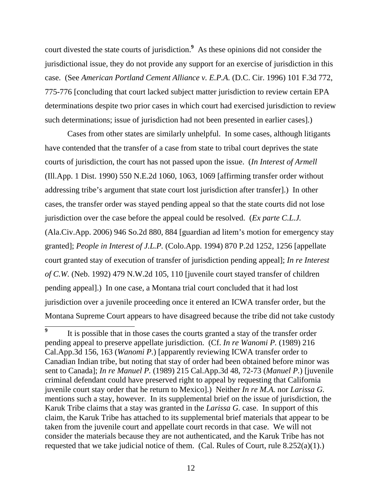court divested the state courts of jurisdiction.**<sup>9</sup>** As these opinions did not consider the jurisdictional issue, they do not provide any support for an exercise of jurisdiction in this case. (See *American Portland Cement Alliance v. E.P.A.* (D.C. Cir. 1996) 101 F.3d 772, 775-776 [concluding that court lacked subject matter jurisdiction to review certain EPA determinations despite two prior cases in which court had exercised jurisdiction to review such determinations; issue of jurisdiction had not been presented in earlier cases].)

 Cases from other states are similarly unhelpful. In some cases, although litigants have contended that the transfer of a case from state to tribal court deprives the state courts of jurisdiction, the court has not passed upon the issue. (*In Interest of Armell* (Ill.App. 1 Dist. 1990) 550 N.E.2d 1060, 1063, 1069 [affirming transfer order without addressing tribe's argument that state court lost jurisdiction after transfer].) In other cases, the transfer order was stayed pending appeal so that the state courts did not lose jurisdiction over the case before the appeal could be resolved. (*Ex parte C.L.J.* (Ala.Civ.App. 2006) 946 So.2d 880, 884 [guardian ad litem's motion for emergency stay granted]; *People in Interest of J.L.P.* (Colo.App. 1994) 870 P.2d 1252, 1256 [appellate court granted stay of execution of transfer of jurisdiction pending appeal]; *In re Interest of C.W.* (Neb. 1992) 479 N.W.2d 105, 110 [juvenile court stayed transfer of children pending appeal].) In one case, a Montana trial court concluded that it had lost jurisdiction over a juvenile proceeding once it entered an ICWA transfer order, but the Montana Supreme Court appears to have disagreed because the tribe did not take custody

 $\overline{9}$ It is possible that in those cases the courts granted a stay of the transfer order pending appeal to preserve appellate jurisdiction. (Cf. *In re Wanomi P.* (1989) 216 Cal.App.3d 156, 163 (*Wanomi P.*) [apparently reviewing ICWA transfer order to Canadian Indian tribe, but noting that stay of order had been obtained before minor was sent to Canada]; *In re Manuel P.* (1989) 215 Cal.App.3d 48, 72-73 (*Manuel P.*) [juvenile criminal defendant could have preserved right to appeal by requesting that California juvenile court stay order that he return to Mexico].) Neither *In re M.A.* nor *Larissa G.* mentions such a stay, however. In its supplemental brief on the issue of jurisdiction, the Karuk Tribe claims that a stay was granted in the *Larissa G.* case. In support of this claim, the Karuk Tribe has attached to its supplemental brief materials that appear to be taken from the juvenile court and appellate court records in that case. We will not consider the materials because they are not authenticated, and the Karuk Tribe has not requested that we take judicial notice of them. (Cal. Rules of Court, rule 8.252(a)(1).)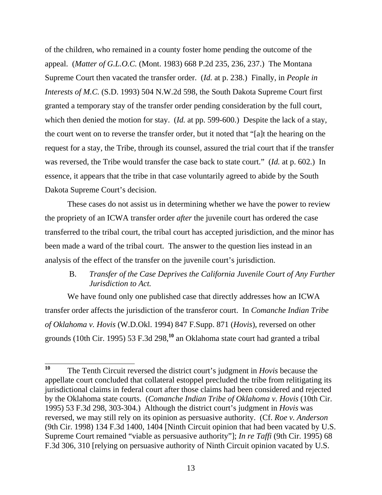of the children, who remained in a county foster home pending the outcome of the appeal. (*Matter of G.L.O.C.* (Mont. 1983) 668 P.2d 235, 236, 237.) The Montana Supreme Court then vacated the transfer order. (*Id.* at p. 238.) Finally, in *People in Interests of M.C.* (S.D. 1993) 504 N.W.2d 598, the South Dakota Supreme Court first granted a temporary stay of the transfer order pending consideration by the full court, which then denied the motion for stay. (*Id.* at pp. 599-600.) Despite the lack of a stay, the court went on to reverse the transfer order, but it noted that "[a]t the hearing on the request for a stay, the Tribe, through its counsel, assured the trial court that if the transfer was reversed, the Tribe would transfer the case back to state court." (*Id.* at p. 602.) In essence, it appears that the tribe in that case voluntarily agreed to abide by the South Dakota Supreme Court's decision.

 These cases do not assist us in determining whether we have the power to review the propriety of an ICWA transfer order *after* the juvenile court has ordered the case transferred to the tribal court, the tribal court has accepted jurisdiction, and the minor has been made a ward of the tribal court. The answer to the question lies instead in an analysis of the effect of the transfer on the juvenile court's jurisdiction.

# B. *Transfer of the Case Deprives the California Juvenile Court of Any Further Jurisdiction to Act.*

 We have found only one published case that directly addresses how an ICWA transfer order affects the jurisdiction of the transferor court. In *Comanche Indian Tribe of Oklahoma v. Hovis* (W.D.Okl. 1994) 847 F.Supp. 871 (*Hovis*), reversed on other grounds (10th Cir. 1995) 53 F.3d 298,**<sup>10</sup>** an Oklahoma state court had granted a tribal

 $10$ **<sup>10</sup>** The Tenth Circuit reversed the district court's judgment in *Hovis* because the appellate court concluded that collateral estoppel precluded the tribe from relitigating its jurisdictional claims in federal court after those claims had been considered and rejected by the Oklahoma state courts. (*Comanche Indian Tribe of Oklahoma v. Hovis* (10th Cir. 1995) 53 F.3d 298, 303-304.) Although the district court's judgment in *Hovis* was reversed, we may still rely on its opinion as persuasive authority. (Cf. *Roe v. Anderson* (9th Cir. 1998) 134 F.3d 1400, 1404 [Ninth Circuit opinion that had been vacated by U.S. Supreme Court remained "viable as persuasive authority"]; *In re Taffi* (9th Cir. 1995) 68 F.3d 306, 310 [relying on persuasive authority of Ninth Circuit opinion vacated by U.S.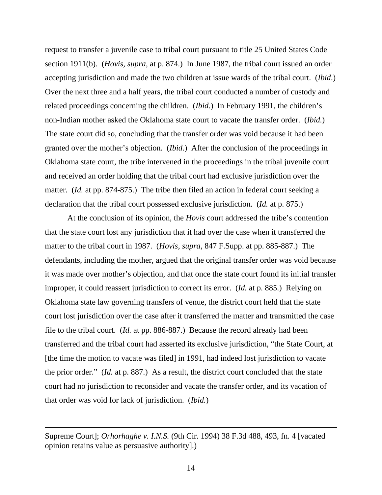request to transfer a juvenile case to tribal court pursuant to title 25 United States Code section 1911(b). (*Hovis, supra,* at p. 874.) In June 1987, the tribal court issued an order accepting jurisdiction and made the two children at issue wards of the tribal court. (*Ibid*.) Over the next three and a half years, the tribal court conducted a number of custody and related proceedings concerning the children. (*Ibid*.) In February 1991, the children's non-Indian mother asked the Oklahoma state court to vacate the transfer order. (*Ibid.*) The state court did so, concluding that the transfer order was void because it had been granted over the mother's objection. (*Ibid.*) After the conclusion of the proceedings in Oklahoma state court, the tribe intervened in the proceedings in the tribal juvenile court and received an order holding that the tribal court had exclusive jurisdiction over the matter. (*Id.* at pp. 874-875.) The tribe then filed an action in federal court seeking a declaration that the tribal court possessed exclusive jurisdiction. (*Id.* at p. 875.)

 At the conclusion of its opinion, the *Hovis* court addressed the tribe's contention that the state court lost any jurisdiction that it had over the case when it transferred the matter to the tribal court in 1987. (*Hovis, supra,* 847 F.Supp. at pp. 885-887.) The defendants, including the mother, argued that the original transfer order was void because it was made over mother's objection, and that once the state court found its initial transfer improper, it could reassert jurisdiction to correct its error. (*Id.* at p. 885.) Relying on Oklahoma state law governing transfers of venue, the district court held that the state court lost jurisdiction over the case after it transferred the matter and transmitted the case file to the tribal court. (*Id.* at pp. 886-887.) Because the record already had been transferred and the tribal court had asserted its exclusive jurisdiction, "the State Court, at [the time the motion to vacate was filed] in 1991, had indeed lost jurisdiction to vacate the prior order." (*Id.* at p. 887.) As a result, the district court concluded that the state court had no jurisdiction to reconsider and vacate the transfer order, and its vacation of that order was void for lack of jurisdiction. (*Ibid.*)

Supreme Court]; *Orhorhaghe v. I.N.S.* (9th Cir. 1994) 38 F.3d 488, 493, fn. 4 [vacated opinion retains value as persuasive authority].)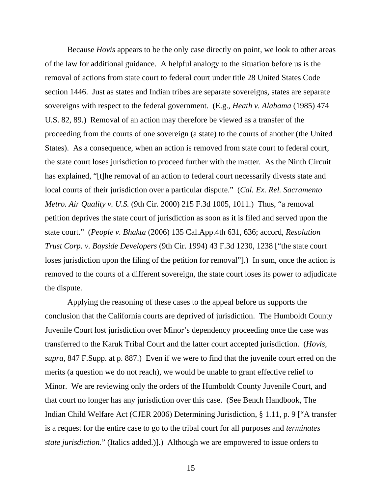Because *Hovis* appears to be the only case directly on point, we look to other areas of the law for additional guidance. A helpful analogy to the situation before us is the removal of actions from state court to federal court under title 28 United States Code section 1446. Just as states and Indian tribes are separate sovereigns, states are separate sovereigns with respect to the federal government. (E.g., *Heath v. Alabama* (1985) 474 U.S. 82, 89.) Removal of an action may therefore be viewed as a transfer of the proceeding from the courts of one sovereign (a state) to the courts of another (the United States). As a consequence, when an action is removed from state court to federal court, the state court loses jurisdiction to proceed further with the matter. As the Ninth Circuit has explained, "[t]he removal of an action to federal court necessarily divests state and local courts of their jurisdiction over a particular dispute." (*Cal. Ex. Rel. Sacramento Metro. Air Quality v. U.S.* (9th Cir. 2000) 215 F.3d 1005, 1011.) Thus, "a removal petition deprives the state court of jurisdiction as soon as it is filed and served upon the state court." (*People v. Bhakta* (2006) 135 Cal.App.4th 631, 636; accord, *Resolution Trust Corp. v. Bayside Developers* (9th Cir. 1994) 43 F.3d 1230, 1238 ["the state court loses jurisdiction upon the filing of the petition for removal"].) In sum, once the action is removed to the courts of a different sovereign, the state court loses its power to adjudicate the dispute.

 Applying the reasoning of these cases to the appeal before us supports the conclusion that the California courts are deprived of jurisdiction. The Humboldt County Juvenile Court lost jurisdiction over Minor's dependency proceeding once the case was transferred to the Karuk Tribal Court and the latter court accepted jurisdiction. (*Hovis, supra,* 847 F.Supp. at p. 887.) Even if we were to find that the juvenile court erred on the merits (a question we do not reach), we would be unable to grant effective relief to Minor. We are reviewing only the orders of the Humboldt County Juvenile Court, and that court no longer has any jurisdiction over this case. (See Bench Handbook, The Indian Child Welfare Act (CJER 2006) Determining Jurisdiction, § 1.11, p. 9 ["A transfer is a request for the entire case to go to the tribal court for all purposes and *terminates state jurisdiction*." (Italics added.)].) Although we are empowered to issue orders to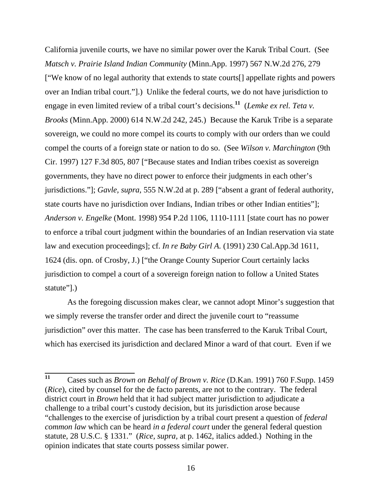California juvenile courts, we have no similar power over the Karuk Tribal Court. (See *Matsch v. Prairie Island Indian Community* (Minn.App. 1997) 567 N.W.2d 276, 279 ["We know of no legal authority that extends to state courts[] appellate rights and powers over an Indian tribal court."].) Unlike the federal courts, we do not have jurisdiction to engage in even limited review of a tribal court's decisions.**<sup>11</sup>** (*Lemke ex rel. Teta v. Brooks* (Minn.App. 2000) 614 N.W.2d 242, 245.) Because the Karuk Tribe is a separate sovereign, we could no more compel its courts to comply with our orders than we could compel the courts of a foreign state or nation to do so. (See *Wilson v. Marchington* (9th Cir. 1997) 127 F.3d 805, 807 ["Because states and Indian tribes coexist as sovereign governments, they have no direct power to enforce their judgments in each other's jurisdictions."]; *Gavle, supra,* 555 N.W.2d at p. 289 ["absent a grant of federal authority, state courts have no jurisdiction over Indians, Indian tribes or other Indian entities"]; *Anderson v. Engelke* (Mont. 1998) 954 P.2d 1106, 1110-1111 [state court has no power to enforce a tribal court judgment within the boundaries of an Indian reservation via state law and execution proceedings]; cf. *In re Baby Girl A.* (1991) 230 Cal.App.3d 1611, 1624 (dis. opn. of Crosby, J.) ["the Orange County Superior Court certainly lacks jurisdiction to compel a court of a sovereign foreign nation to follow a United States statute"].)

 As the foregoing discussion makes clear, we cannot adopt Minor's suggestion that we simply reverse the transfer order and direct the juvenile court to "reassume jurisdiction" over this matter. The case has been transferred to the Karuk Tribal Court, which has exercised its jurisdiction and declared Minor a ward of that court. Even if we

 $11$ **<sup>11</sup>** Cases such as *Brown on Behalf of Brown v. Rice* (D.Kan. 1991) 760 F.Supp. 1459 (*Rice*), cited by counsel for the de facto parents, are not to the contrary. The federal district court in *Brown* held that it had subject matter jurisdiction to adjudicate a challenge to a tribal court's custody decision, but its jurisdiction arose because "challenges to the exercise of jurisdiction by a tribal court present a question of *federal common law* which can be heard *in a federal court* under the general federal question statute, 28 U.S.C. § 1331." (*Rice, supra,* at p. 1462, italics added.) Nothing in the opinion indicates that state courts possess similar power.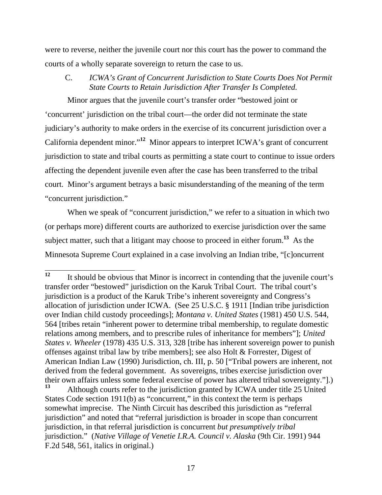were to reverse, neither the juvenile court nor this court has the power to command the courts of a wholly separate sovereign to return the case to us.

C. *ICWA's Grant of Concurrent Jurisdiction to State Courts Does Not Permit State Courts to Retain Jurisdiction After Transfer Is Completed.* 

 Minor argues that the juvenile court's transfer order "bestowed joint or 'concurrent' jurisdiction on the tribal court—the order did not terminate the state judiciary's authority to make orders in the exercise of its concurrent jurisdiction over a California dependent minor."**<sup>12</sup>** Minor appears to interpret ICWA's grant of concurrent jurisdiction to state and tribal courts as permitting a state court to continue to issue orders affecting the dependent juvenile even after the case has been transferred to the tribal court. Minor's argument betrays a basic misunderstanding of the meaning of the term "concurrent jurisdiction."

When we speak of "concurrent jurisdiction," we refer to a situation in which two (or perhaps more) different courts are authorized to exercise jurisdiction over the same subject matter, such that a litigant may choose to proceed in either forum.**<sup>13</sup>** As the Minnesota Supreme Court explained in a case involving an Indian tribe, "[c]oncurrent

**<sup>13</sup>** Although courts refer to the jurisdiction granted by ICWA under title 25 United States Code section 1911(b) as "concurrent," in this context the term is perhaps somewhat imprecise. The Ninth Circuit has described this jurisdiction as "referral jurisdiction" and noted that "referral jurisdiction is broader in scope than concurrent jurisdiction, in that referral jurisdiction is concurrent *but presumptively tribal* jurisdiction." (*Native Village of Venetie I.R.A. Council v. Alaska* (9th Cir. 1991) 944 F.2d 548, 561, italics in original.)

 $\overline{12}$ **<sup>12</sup>** It should be obvious that Minor is incorrect in contending that the juvenile court's transfer order "bestowed" jurisdiction on the Karuk Tribal Court. The tribal court's jurisdiction is a product of the Karuk Tribe's inherent sovereignty and Congress's allocation of jurisdiction under ICWA. (See 25 U.S.C. § 1911 [Indian tribe jurisdiction over Indian child custody proceedings]; *Montana v. United States* (1981) 450 U.S. 544, 564 [tribes retain "inherent power to determine tribal membership, to regulate domestic relations among members, and to prescribe rules of inheritance for members"]; *United States v. Wheeler* (1978) 435 U.S. 313, 328 [tribe has inherent sovereign power to punish offenses against tribal law by tribe members]; see also Holt & Forrester, Digest of American Indian Law (1990) Jurisdiction, ch. III, p. 50 ["Tribal powers are inherent, not derived from the federal government. As sovereigns, tribes exercise jurisdiction over their own affairs unless some federal exercise of power has altered tribal sovereignty."].)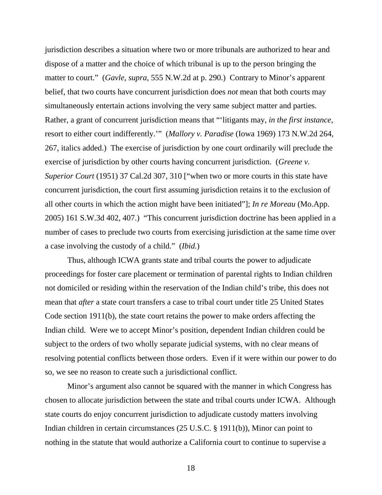jurisdiction describes a situation where two or more tribunals are authorized to hear and dispose of a matter and the choice of which tribunal is up to the person bringing the matter to court." (*Gavle, supra,* 555 N.W.2d at p. 290.) Contrary to Minor's apparent belief, that two courts have concurrent jurisdiction does *not* mean that both courts may simultaneously entertain actions involving the very same subject matter and parties. Rather, a grant of concurrent jurisdiction means that "'litigants may, *in the first instance,* resort to either court indifferently.'" (*Mallory v. Paradise* (Iowa 1969) 173 N.W.2d 264, 267, italics added.) The exercise of jurisdiction by one court ordinarily will preclude the exercise of jurisdiction by other courts having concurrent jurisdiction. (*Greene v. Superior Court* (1951) 37 Cal.2d 307, 310 ["when two or more courts in this state have concurrent jurisdiction, the court first assuming jurisdiction retains it to the exclusion of all other courts in which the action might have been initiated"]; *In re Moreau* (Mo.App. 2005) 161 S.W.3d 402, 407.) "This concurrent jurisdiction doctrine has been applied in a number of cases to preclude two courts from exercising jurisdiction at the same time over a case involving the custody of a child." (*Ibid.*)

 Thus, although ICWA grants state and tribal courts the power to adjudicate proceedings for foster care placement or termination of parental rights to Indian children not domiciled or residing within the reservation of the Indian child's tribe, this does not mean that *after* a state court transfers a case to tribal court under title 25 United States Code section 1911(b), the state court retains the power to make orders affecting the Indian child. Were we to accept Minor's position, dependent Indian children could be subject to the orders of two wholly separate judicial systems, with no clear means of resolving potential conflicts between those orders. Even if it were within our power to do so, we see no reason to create such a jurisdictional conflict.

 Minor's argument also cannot be squared with the manner in which Congress has chosen to allocate jurisdiction between the state and tribal courts under ICWA. Although state courts do enjoy concurrent jurisdiction to adjudicate custody matters involving Indian children in certain circumstances (25 U.S.C. § 1911(b)), Minor can point to nothing in the statute that would authorize a California court to continue to supervise a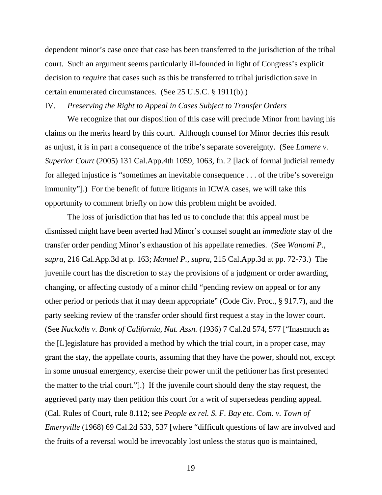dependent minor's case once that case has been transferred to the jurisdiction of the tribal court. Such an argument seems particularly ill-founded in light of Congress's explicit decision to *require* that cases such as this be transferred to tribal jurisdiction save in certain enumerated circumstances. (See 25 U.S.C. § 1911(b).)

### IV. *Preserving the Right to Appeal in Cases Subject to Transfer Orders*

 We recognize that our disposition of this case will preclude Minor from having his claims on the merits heard by this court. Although counsel for Minor decries this result as unjust, it is in part a consequence of the tribe's separate sovereignty. (See *Lamere v. Superior Court* (2005) 131 Cal.App.4th 1059, 1063, fn. 2 [lack of formal judicial remedy for alleged injustice is "sometimes an inevitable consequence . . . of the tribe's sovereign immunity"].) For the benefit of future litigants in ICWA cases, we will take this opportunity to comment briefly on how this problem might be avoided.

 The loss of jurisdiction that has led us to conclude that this appeal must be dismissed might have been averted had Minor's counsel sought an *immediate* stay of the transfer order pending Minor's exhaustion of his appellate remedies. (See *Wanomi P., supra,* 216 Cal.App.3d at p. 163; *Manuel P., supra,* 215 Cal.App.3d at pp. 72-73.) The juvenile court has the discretion to stay the provisions of a judgment or order awarding, changing, or affecting custody of a minor child "pending review on appeal or for any other period or periods that it may deem appropriate" (Code Civ. Proc., § 917.7), and the party seeking review of the transfer order should first request a stay in the lower court. (See *Nuckolls v. Bank of California, Nat. Assn.* (1936) 7 Cal.2d 574, 577 ["Inasmuch as the [L]egislature has provided a method by which the trial court, in a proper case, may grant the stay, the appellate courts, assuming that they have the power, should not, except in some unusual emergency, exercise their power until the petitioner has first presented the matter to the trial court."].) If the juvenile court should deny the stay request, the aggrieved party may then petition this court for a writ of supersedeas pending appeal. (Cal. Rules of Court, rule 8.112; see *People ex rel. S. F. Bay etc. Com. v. Town of Emeryville* (1968) 69 Cal.2d 533, 537 [where "difficult questions of law are involved and the fruits of a reversal would be irrevocably lost unless the status quo is maintained,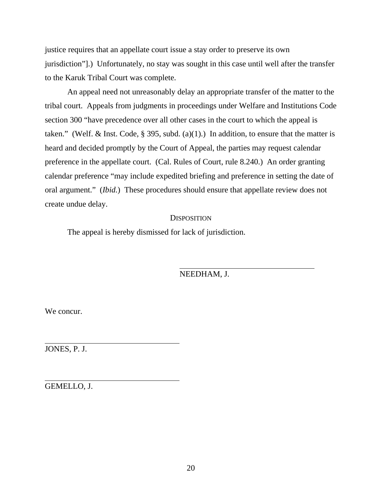justice requires that an appellate court issue a stay order to preserve its own jurisdiction"].) Unfortunately, no stay was sought in this case until well after the transfer to the Karuk Tribal Court was complete.

 An appeal need not unreasonably delay an appropriate transfer of the matter to the tribal court. Appeals from judgments in proceedings under Welfare and Institutions Code section 300 "have precedence over all other cases in the court to which the appeal is taken." (Welf. & Inst. Code, § 395, subd. (a)(1).) In addition, to ensure that the matter is heard and decided promptly by the Court of Appeal, the parties may request calendar preference in the appellate court. (Cal. Rules of Court, rule 8.240.) An order granting calendar preference "may include expedited briefing and preference in setting the date of oral argument." (*Ibid.*) These procedures should ensure that appellate review does not create undue delay.

### **DISPOSITION**

The appeal is hereby dismissed for lack of jurisdiction.

NEEDHAM, J.

We concur.

JONES, P. J.

l,

 $\overline{a}$ 

GEMELLO, J.